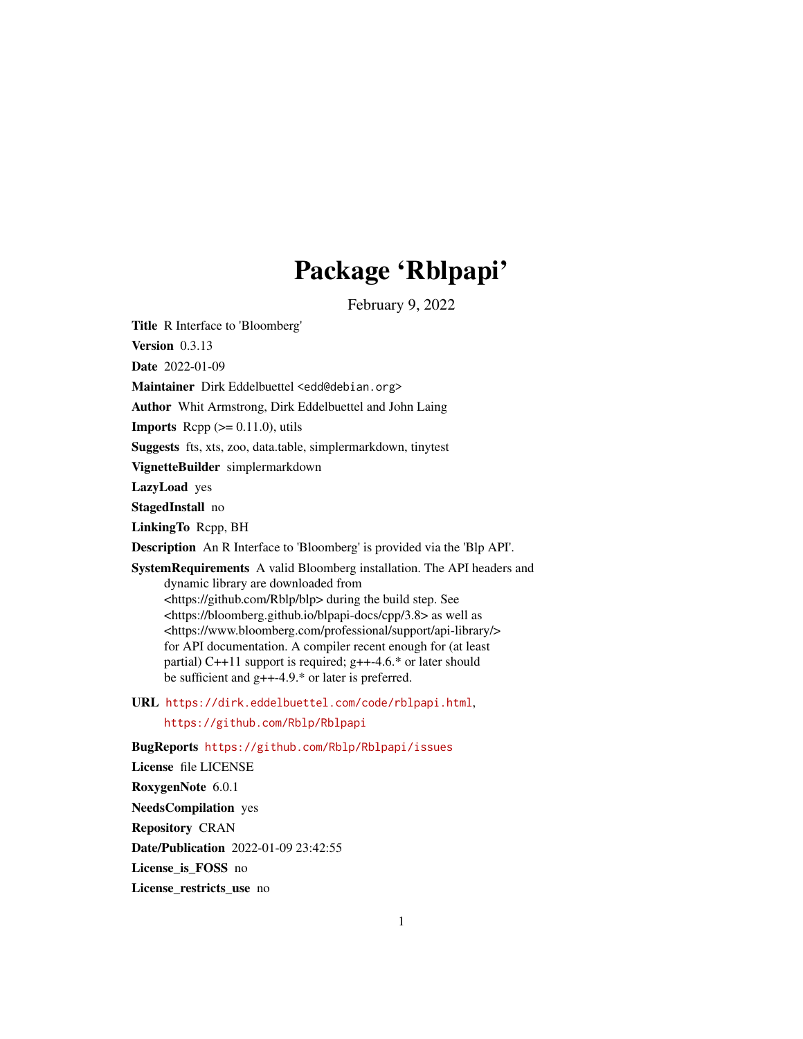# Package 'Rblpapi'

February 9, 2022

<span id="page-0-0"></span>Title R Interface to 'Bloomberg'

Version 0.3.13

Date 2022-01-09

Maintainer Dirk Eddelbuettel <edd@debian.org>

Author Whit Armstrong, Dirk Eddelbuettel and John Laing

**Imports** Rcpp  $(>= 0.11.0)$ , utils

Suggests fts, xts, zoo, data.table, simplermarkdown, tinytest

VignetteBuilder simplermarkdown

LazyLoad yes

StagedInstall no

LinkingTo Rcpp, BH

Description An R Interface to 'Bloomberg' is provided via the 'Blp API'.

SystemRequirements A valid Bloomberg installation. The API headers and dynamic library are downloaded from <https://github.com/Rblp/blp> during the build step. See <https://bloomberg.github.io/blpapi-docs/cpp/3.8> as well as <https://www.bloomberg.com/professional/support/api-library/> for API documentation. A compiler recent enough for (at least partial) C++11 support is required;  $g++-4.6$ .\* or later should be sufficient and g++-4.9.\* or later is preferred.

URL <https://dirk.eddelbuettel.com/code/rblpapi.html>,

<https://github.com/Rblp/Rblpapi>

BugReports <https://github.com/Rblp/Rblpapi/issues> License file LICENSE RoxygenNote 6.0.1 NeedsCompilation yes Repository CRAN Date/Publication 2022-01-09 23:42:55 License\_is\_FOSS no License\_restricts\_use no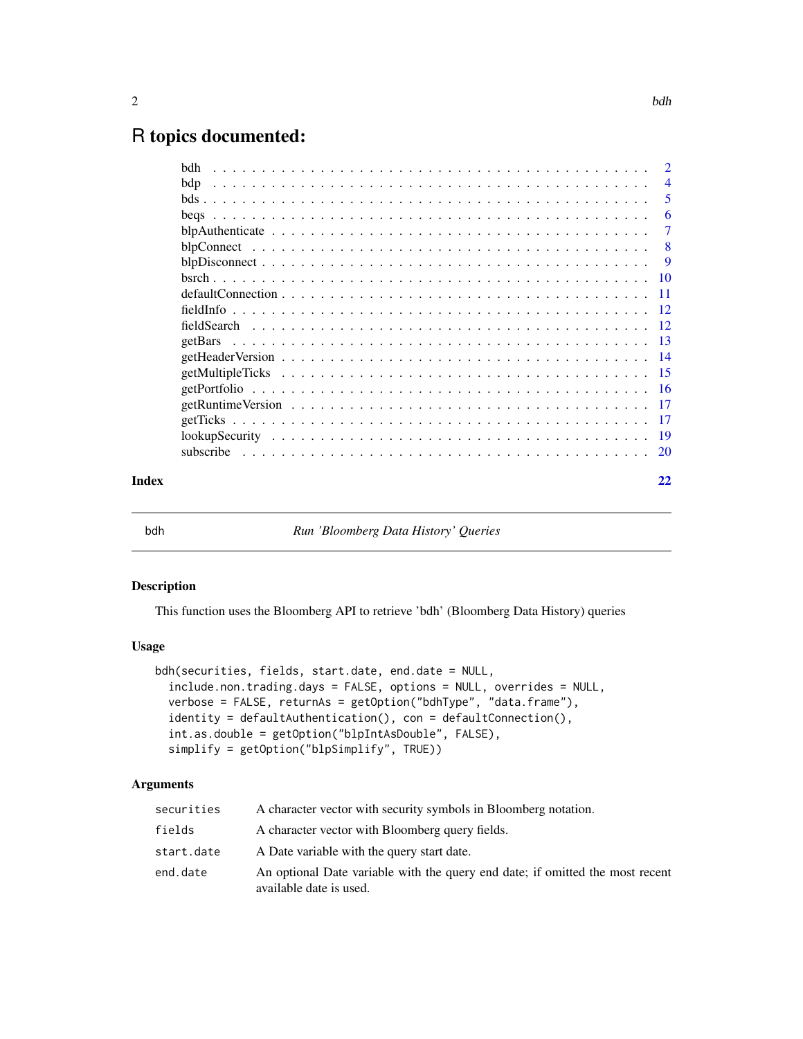# <span id="page-1-0"></span>R topics documented:

|       | bdh |                |
|-------|-----|----------------|
|       | bdp | $\overline{4}$ |
|       |     | 5              |
|       |     | 6              |
|       |     | $\overline{7}$ |
|       |     | -8             |
|       |     |                |
|       |     |                |
|       |     |                |
|       |     |                |
|       |     |                |
|       |     |                |
|       |     |                |
|       |     |                |
|       |     |                |
|       |     |                |
|       |     |                |
|       |     |                |
|       |     |                |
| Index |     | 22             |

bdh *Run 'Bloomberg Data History' Queries*

# Description

This function uses the Bloomberg API to retrieve 'bdh' (Bloomberg Data History) queries

# Usage

```
bdh(securities, fields, start.date, end.date = NULL,
  include.non.trading.days = FALSE, options = NULL, overrides = NULL,
  verbose = FALSE, returnAs = getOption("bdhType", "data.frame"),
  identity = defaultAuthentication(), con = defaultConnection(),
  int.as.double = getOption("blpIntAsDouble", FALSE),
  simplify = getOption("blpSimplify", TRUE))
```

| securities | A character vector with security symbols in Bloomberg notation.                                          |
|------------|----------------------------------------------------------------------------------------------------------|
| fields     | A character vector with Bloomberg query fields.                                                          |
| start.date | A Date variable with the query start date.                                                               |
| end.date   | An optional Date variable with the query end date; if omitted the most recent<br>available date is used. |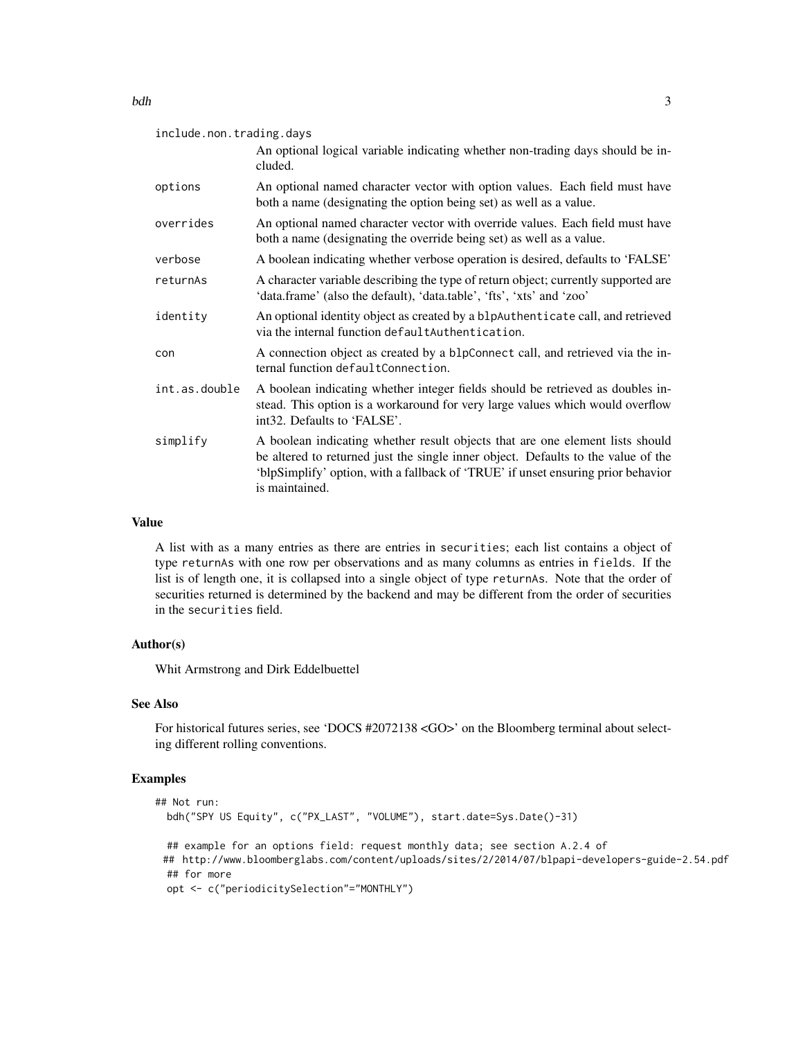| include.non.trading.days |                                                                                                                                                                                                                                                                          |  |
|--------------------------|--------------------------------------------------------------------------------------------------------------------------------------------------------------------------------------------------------------------------------------------------------------------------|--|
|                          | An optional logical variable indicating whether non-trading days should be in-<br>cluded.                                                                                                                                                                                |  |
| options                  | An optional named character vector with option values. Each field must have<br>both a name (designating the option being set) as well as a value.                                                                                                                        |  |
| overrides                | An optional named character vector with override values. Each field must have<br>both a name (designating the override being set) as well as a value.                                                                                                                    |  |
| verbose                  | A boolean indicating whether verbose operation is desired, defaults to 'FALSE'                                                                                                                                                                                           |  |
| returnAs                 | A character variable describing the type of return object; currently supported are<br>'data.frame' (also the default), 'data.table', 'fts', 'xts' and 'zoo'                                                                                                              |  |
| identity                 | An optional identity object as created by a blpAuthenticate call, and retrieved<br>via the internal function default Authentication.                                                                                                                                     |  |
| con                      | A connection object as created by a blpConnect call, and retrieved via the in-<br>ternal function defaultConnection.                                                                                                                                                     |  |
| int.as.double            | A boolean indicating whether integer fields should be retrieved as doubles in-<br>stead. This option is a workaround for very large values which would overflow<br>int32. Defaults to 'FALSE'.                                                                           |  |
| simplify                 | A boolean indicating whether result objects that are one element lists should<br>be altered to returned just the single inner object. Defaults to the value of the<br>'blpSimplify' option, with a fallback of 'TRUE' if unset ensuring prior behavior<br>is maintained. |  |

A list with as a many entries as there are entries in securities; each list contains a object of type returnAs with one row per observations and as many columns as entries in fields. If the list is of length one, it is collapsed into a single object of type returnAs. Note that the order of securities returned is determined by the backend and may be different from the order of securities in the securities field.

#### Author(s)

Whit Armstrong and Dirk Eddelbuettel

# See Also

For historical futures series, see 'DOCS #2072138 <GO>' on the Bloomberg terminal about selecting different rolling conventions.

# Examples

```
## Not run:
 bdh("SPY US Equity", c("PX_LAST", "VOLUME"), start.date=Sys.Date()-31)
 ## example for an options field: request monthly data; see section A.2.4 of
 ## http://www.bloomberglabs.com/content/uploads/sites/2/2014/07/blpapi-developers-guide-2.54.pdf
 ## for more
 opt <- c("periodicitySelection"="MONTHLY")
```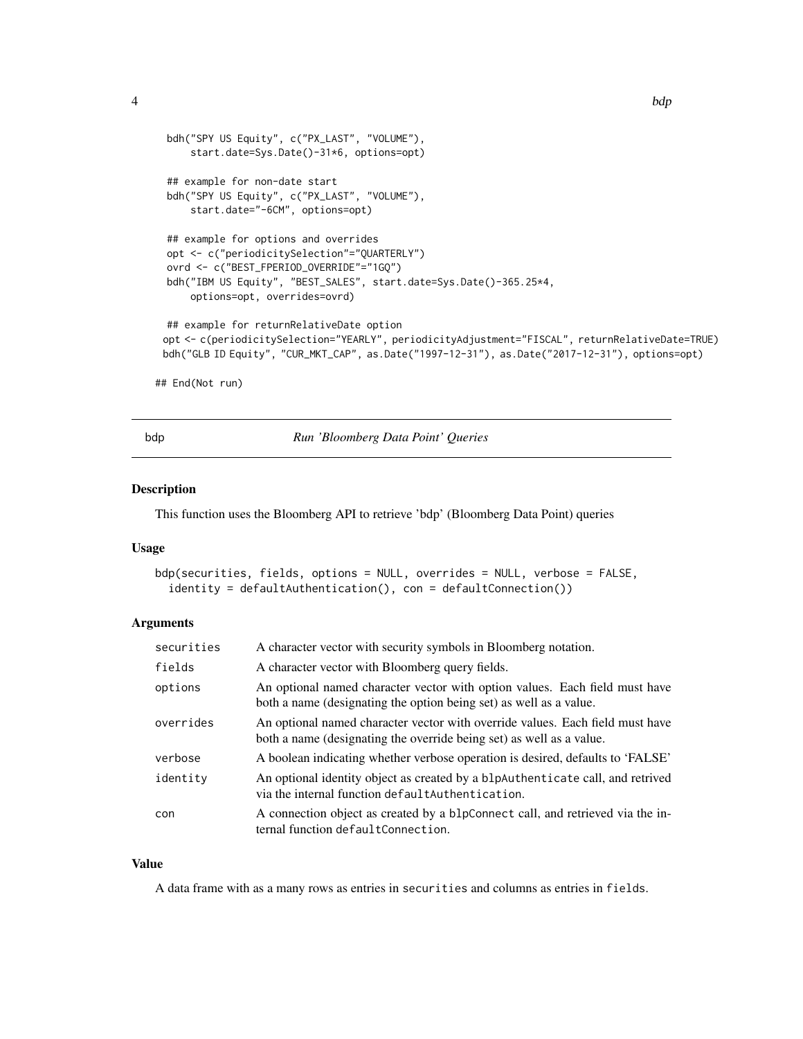```
bdh("SPY US Equity", c("PX_LAST", "VOLUME"),
     start.date=Sys.Date()-31*6, options=opt)
 ## example for non-date start
 bdh("SPY US Equity", c("PX_LAST", "VOLUME"),
     start.date="-6CM", options=opt)
 ## example for options and overrides
 opt <- c("periodicitySelection"="QUARTERLY")
 ovrd <- c("BEST_FPERIOD_OVERRIDE"="1GQ")
 bdh("IBM US Equity", "BEST_SALES", start.date=Sys.Date()-365.25*4,
     options=opt, overrides=ovrd)
 ## example for returnRelativeDate option
 opt <- c(periodicitySelection="YEARLY", periodicityAdjustment="FISCAL", returnRelativeDate=TRUE)
 bdh("GLB ID Equity", "CUR_MKT_CAP", as.Date("1997-12-31"), as.Date("2017-12-31"), options=opt)
## End(Not run)
```
bdp *Run 'Bloomberg Data Point' Queries*

#### Description

This function uses the Bloomberg API to retrieve 'bdp' (Bloomberg Data Point) queries

#### Usage

```
bdp(securities, fields, options = NULL, overrides = NULL, verbose = FALSE,
  identity = defaultAuthentication(), con = defaultConnection())
```
#### **Arguments**

| securities | A character vector with security symbols in Bloomberg notation.                                                                                       |
|------------|-------------------------------------------------------------------------------------------------------------------------------------------------------|
| fields     | A character vector with Bloomberg query fields.                                                                                                       |
| options    | An optional named character vector with option values. Each field must have<br>both a name (designating the option being set) as well as a value.     |
| overrides  | An optional named character vector with override values. Each field must have<br>both a name (designating the override being set) as well as a value. |
| verbose    | A boolean indicating whether verbose operation is desired, defaults to 'FALSE'                                                                        |
| identity   | An optional identity object as created by a blpAuthenticate call, and retrived<br>via the internal function default Authentication.                   |
| con        | A connection object as created by a blpConnect call, and retrieved via the in-<br>ternal function defaultConnection.                                  |

#### Value

A data frame with as a many rows as entries in securities and columns as entries in fields.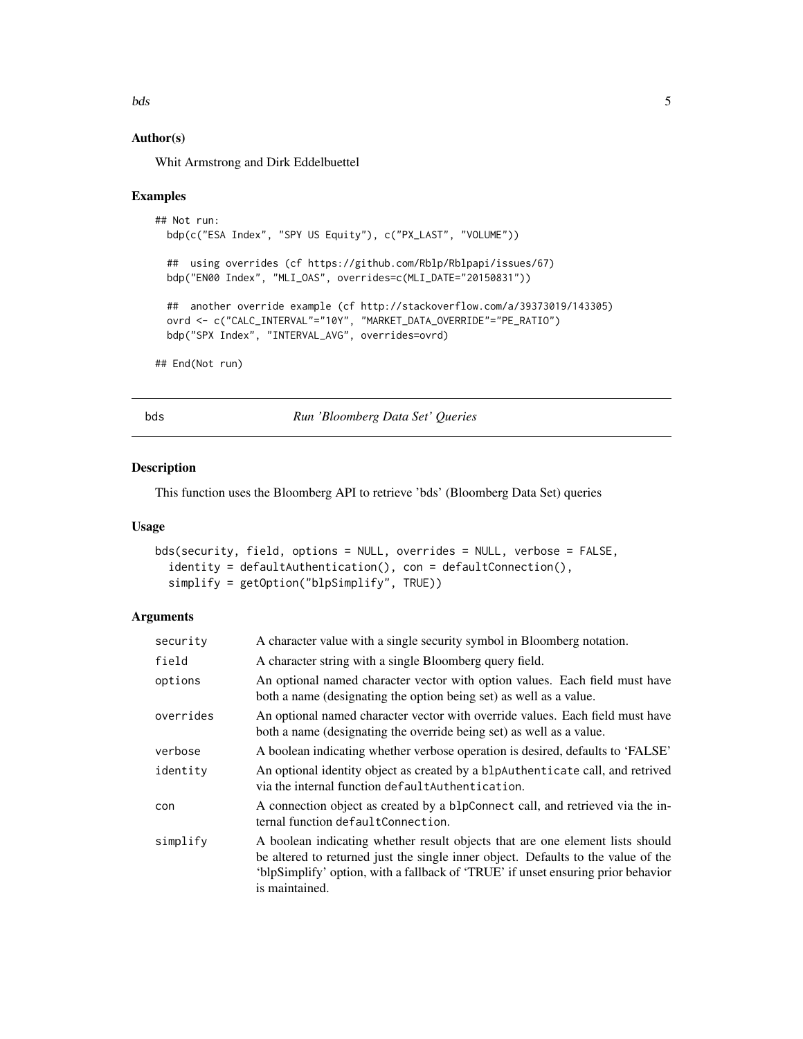#### <span id="page-4-0"></span>bds 5

### Author(s)

Whit Armstrong and Dirk Eddelbuettel

#### Examples

```
## Not run:
 bdp(c("ESA Index", "SPY US Equity"), c("PX_LAST", "VOLUME"))
 ## using overrides (cf https://github.com/Rblp/Rblpapi/issues/67)
 bdp("EN00 Index", "MLI_OAS", overrides=c(MLI_DATE="20150831"))
 ## another override example (cf http://stackoverflow.com/a/39373019/143305)
 ovrd <- c("CALC_INTERVAL"="10Y", "MARKET_DATA_OVERRIDE"="PE_RATIO")
 bdp("SPX Index", "INTERVAL_AVG", overrides=ovrd)
## End(Not run)
```
bds *Run 'Bloomberg Data Set' Queries*

### Description

This function uses the Bloomberg API to retrieve 'bds' (Bloomberg Data Set) queries

# Usage

```
bds(security, field, options = NULL, overrides = NULL, verbose = FALSE,
  identity = defaultAuthentication(), con = defaultConnection(),
  simplify = getOption("blpSimplify", TRUE))
```

| security  | A character value with a single security symbol in Bloomberg notation.                                                                                                                                                                                                   |
|-----------|--------------------------------------------------------------------------------------------------------------------------------------------------------------------------------------------------------------------------------------------------------------------------|
| field     | A character string with a single Bloomberg query field.                                                                                                                                                                                                                  |
| options   | An optional named character vector with option values. Each field must have<br>both a name (designating the option being set) as well as a value.                                                                                                                        |
| overrides | An optional named character vector with override values. Each field must have<br>both a name (designating the override being set) as well as a value.                                                                                                                    |
| verbose   | A boolean indicating whether verbose operation is desired, defaults to 'FALSE'                                                                                                                                                                                           |
| identity  | An optional identity object as created by a blpAuthenticate call, and retrived<br>via the internal function defaultAuthentication.                                                                                                                                       |
| con       | A connection object as created by a blpConnect call, and retrieved via the in-<br>ternal function defaultConnection.                                                                                                                                                     |
| simplify  | A boolean indicating whether result objects that are one element lists should<br>be altered to returned just the single inner object. Defaults to the value of the<br>'blpSimplify' option, with a fallback of 'TRUE' if unset ensuring prior behavior<br>is maintained. |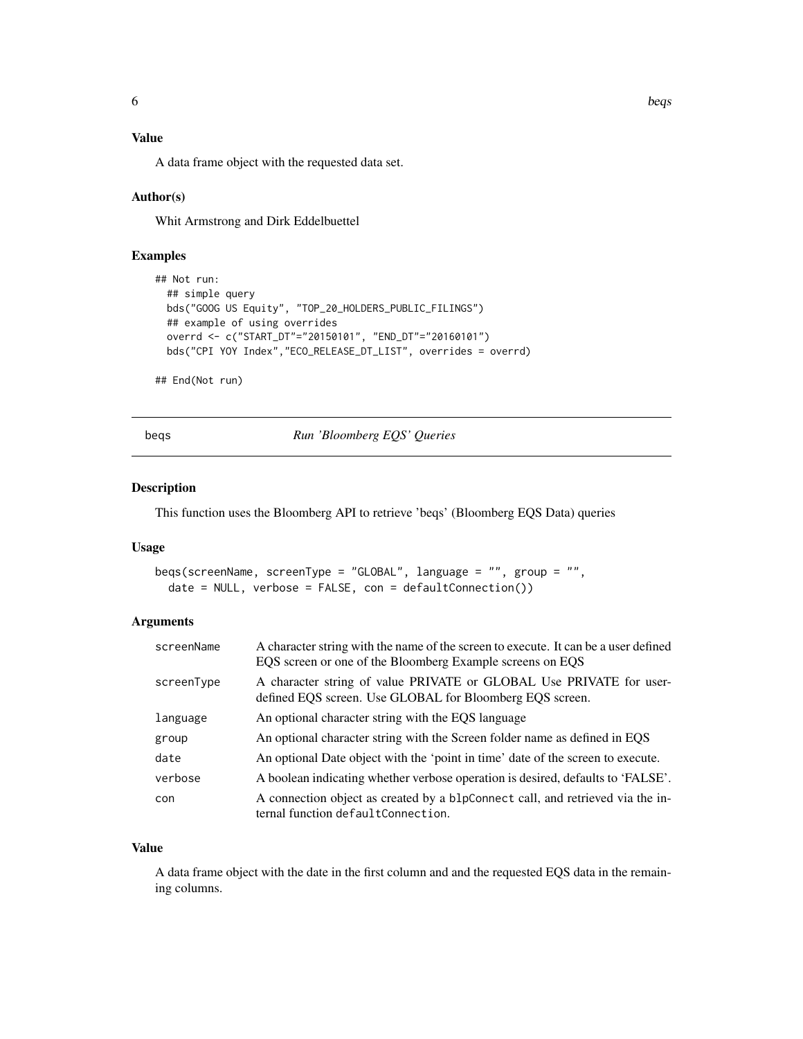<span id="page-5-0"></span>A data frame object with the requested data set.

#### Author(s)

Whit Armstrong and Dirk Eddelbuettel

### Examples

```
## Not run:
 ## simple query
 bds("GOOG US Equity", "TOP_20_HOLDERS_PUBLIC_FILINGS")
 ## example of using overrides
 overrd <- c("START_DT"="20150101", "END_DT"="20160101")
 bds("CPI YOY Index","ECO_RELEASE_DT_LIST", overrides = overrd)
```
## End(Not run)

beqs *Run 'Bloomberg EQS' Queries*

#### Description

This function uses the Bloomberg API to retrieve 'beqs' (Bloomberg EQS Data) queries

# Usage

```
beqs(screenName, screenType = "GLOBAL", language = "", group = "",
 date = NULL, verbose = FALSE, con = defaultConnection()
```
### Arguments

| screenName | A character string with the name of the screen to execute. It can be a user defined<br>EQS screen or one of the Bloomberg Example screens on EQS |
|------------|--------------------------------------------------------------------------------------------------------------------------------------------------|
| screenType | A character string of value PRIVATE or GLOBAL Use PRIVATE for user-<br>defined EQS screen. Use GLOBAL for Bloomberg EQS screen.                  |
| language   | An optional character string with the EQS language                                                                                               |
| group      | An optional character string with the Screen folder name as defined in EQS                                                                       |
| date       | An optional Date object with the 'point in time' date of the screen to execute.                                                                  |
| verbose    | A boolean indicating whether verbose operation is desired, defaults to 'FALSE'.                                                                  |
| con        | A connection object as created by a blpConnect call, and retrieved via the in-<br>ternal function defaultConnection.                             |

#### Value

A data frame object with the date in the first column and and the requested EQS data in the remaining columns.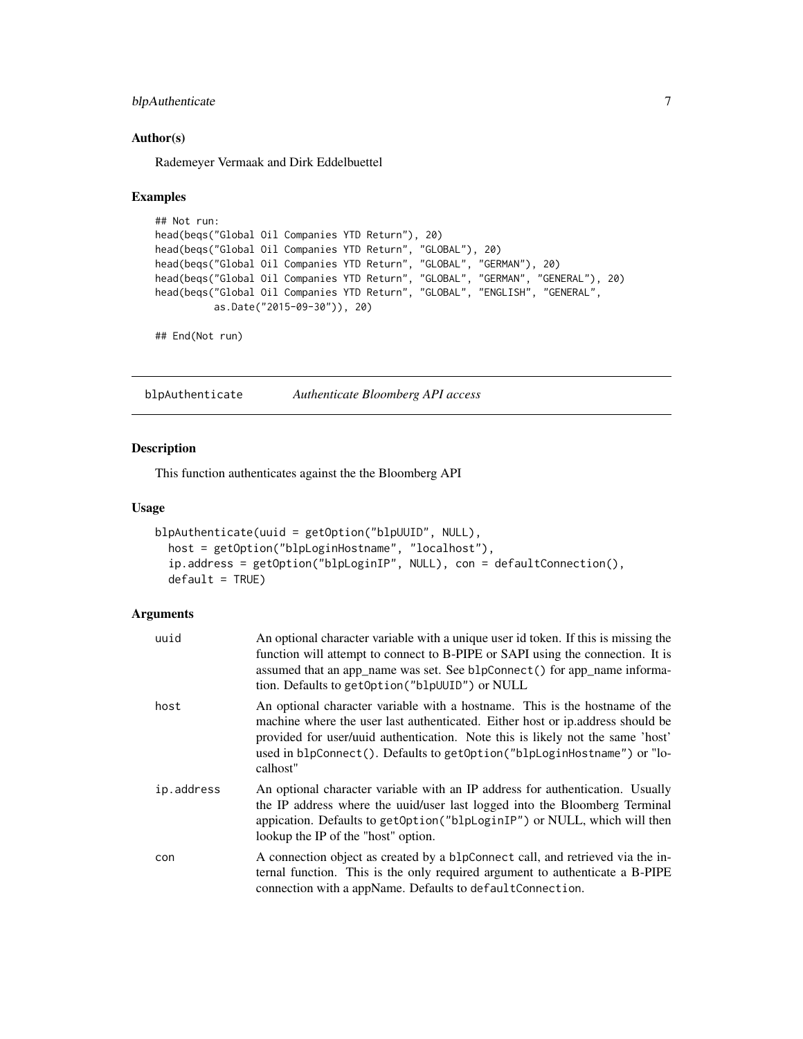# <span id="page-6-0"></span>blpAuthenticate 7

#### Author(s)

Rademeyer Vermaak and Dirk Eddelbuettel

#### Examples

```
## Not run:
head(beqs("Global Oil Companies YTD Return"), 20)
head(beqs("Global Oil Companies YTD Return", "GLOBAL"), 20)
head(beqs("Global Oil Companies YTD Return", "GLOBAL", "GERMAN"), 20)
head(beqs("Global Oil Companies YTD Return", "GLOBAL", "GERMAN", "GENERAL"), 20)
head(beqs("Global Oil Companies YTD Return", "GLOBAL", "ENGLISH", "GENERAL",
         as.Date("2015-09-30")), 20)
```
## End(Not run)

<span id="page-6-1"></span>blpAuthenticate *Authenticate Bloomberg API access*

# Description

This function authenticates against the the Bloomberg API

### Usage

```
blpAuthenticate(uuid = getOption("blpUUID", NULL),
 host = getOption("blpLoginHostname", "localhost"),
  ip.address = getOption("blpLoginIP", NULL), con = defaultConnection(),
 default = TRUE)
```

| uuid       | An optional character variable with a unique user id token. If this is missing the<br>function will attempt to connect to B-PIPE or SAPI using the connection. It is<br>assumed that an app_name was set. See blpConnect () for app_name informa-<br>tion. Defaults to getOption ("blpUUID") or NULL                                   |
|------------|----------------------------------------------------------------------------------------------------------------------------------------------------------------------------------------------------------------------------------------------------------------------------------------------------------------------------------------|
| host       | An optional character variable with a hostname. This is the hostname of the<br>machine where the user last authenticated. Either host or ip address should be<br>provided for user/uuid authentication. Note this is likely not the same 'host'<br>used in blpConnect(). Defaults to getOption("blpLoginHostname") or "lo-<br>calhost" |
| ip.address | An optional character variable with an IP address for authentication. Usually<br>the IP address where the uuid/user last logged into the Bloomberg Terminal<br>appication. Defaults to getOption("blpLoginIP") or NULL, which will then<br>lookup the IP of the "host" option.                                                         |
| con        | A connection object as created by a blpConnect call, and retrieved via the in-<br>ternal function. This is the only required argument to authenticate a B-PIPE<br>connection with a appName. Defaults to default Connection.                                                                                                           |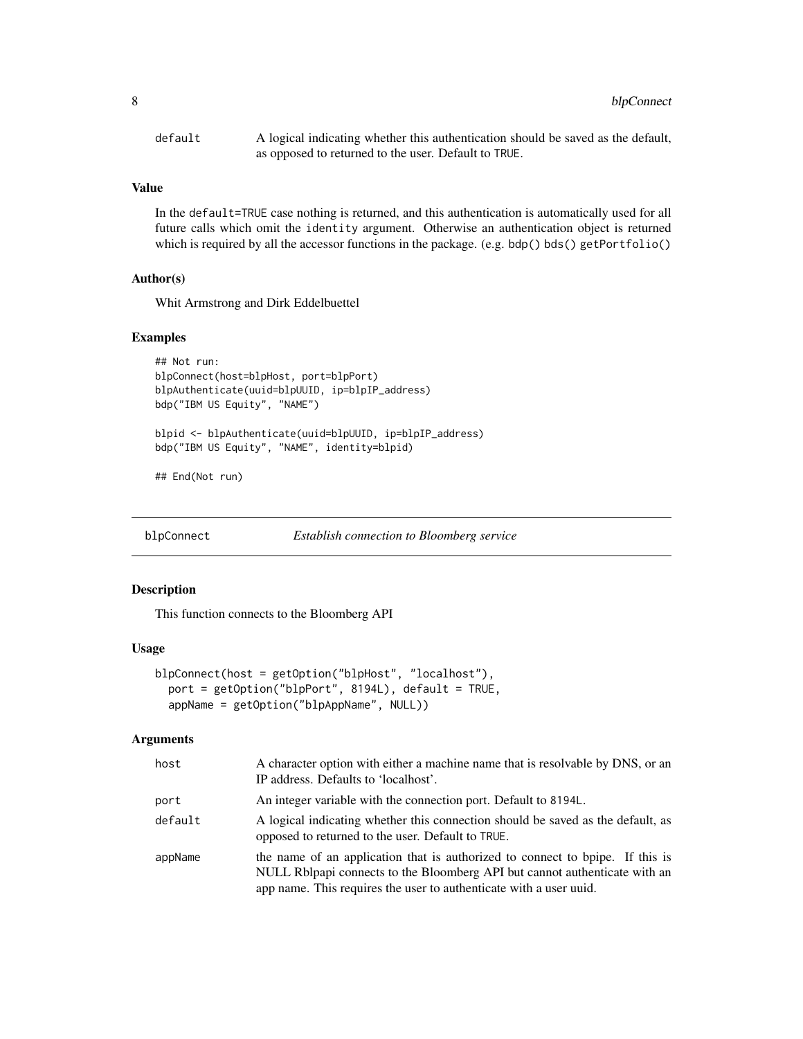<span id="page-7-0"></span>

| default | A logical indicating whether this authentication should be saved as the default, |
|---------|----------------------------------------------------------------------------------|
|         | as opposed to returned to the user. Default to TRUE.                             |

In the default=TRUE case nothing is returned, and this authentication is automatically used for all future calls which omit the identity argument. Otherwise an authentication object is returned which is required by all the accessor functions in the package. (e.g. bdp() bds() getPortfolio()

#### Author(s)

Whit Armstrong and Dirk Eddelbuettel

#### Examples

```
## Not run:
blpConnect(host=blpHost, port=blpPort)
blpAuthenticate(uuid=blpUUID, ip=blpIP_address)
bdp("IBM US Equity", "NAME")
```
blpid <- blpAuthenticate(uuid=blpUUID, ip=blpIP\_address) bdp("IBM US Equity", "NAME", identity=blpid)

## End(Not run)

<span id="page-7-1"></span>blpConnect *Establish connection to Bloomberg service*

#### Description

This function connects to the Bloomberg API

#### Usage

```
blpConnect(host = getOption("blpHost", "localhost"),
 port = getOption("blpPort", 8194L), default = TRUE,
  appName = getOption("blpAppName", NULL))
```

| host    | A character option with either a machine name that is resolvable by DNS, or an<br>IP address. Defaults to 'localhost'.                                                                                                            |
|---------|-----------------------------------------------------------------------------------------------------------------------------------------------------------------------------------------------------------------------------------|
| port    | An integer variable with the connection port. Default to 8194L.                                                                                                                                                                   |
| default | A logical indicating whether this connection should be saved as the default, as<br>opposed to returned to the user. Default to TRUE.                                                                                              |
| appName | the name of an application that is authorized to connect to bpipe. If this is<br>NULL Rolpapi connects to the Bloomberg API but cannot authenticate with an<br>app name. This requires the user to authenticate with a user uuid. |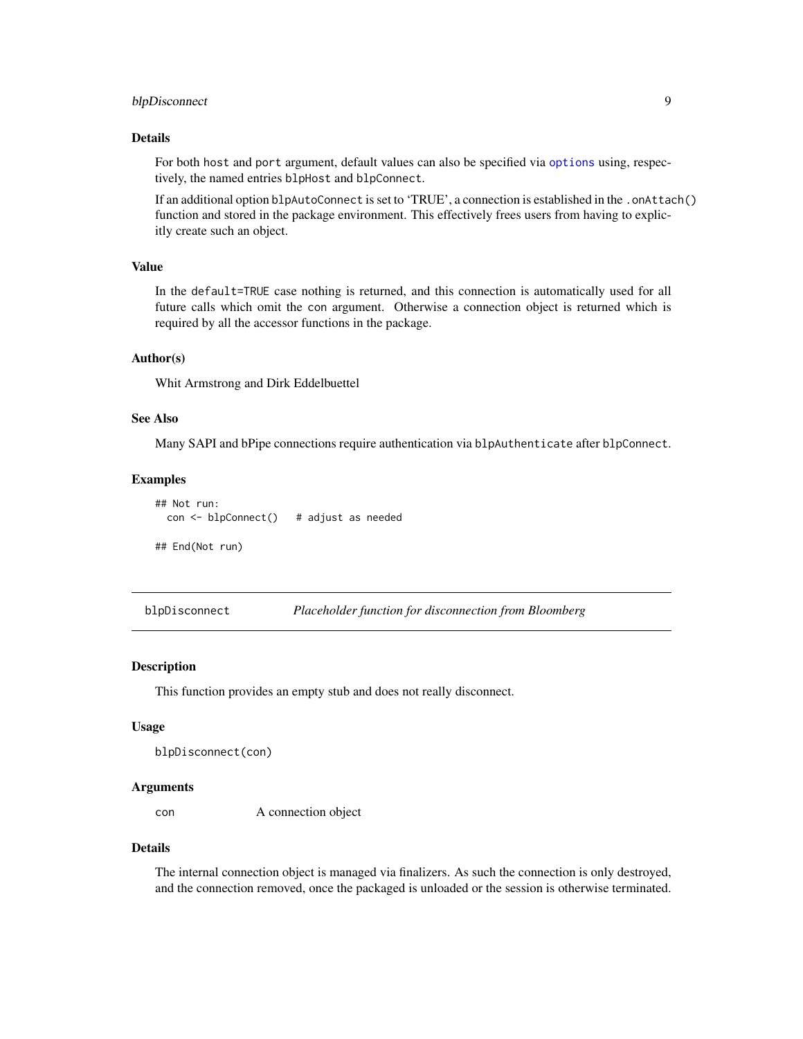# <span id="page-8-0"></span>blpDisconnect 9

#### Details

For both host and port argument, default values can also be specified via [options](#page-0-0) using, respectively, the named entries blpHost and blpConnect.

If an additional option blpAutoConnect is set to 'TRUE', a connection is established in the .onAttach() function and stored in the package environment. This effectively frees users from having to explicitly create such an object.

#### Value

In the default=TRUE case nothing is returned, and this connection is automatically used for all future calls which omit the con argument. Otherwise a connection object is returned which is required by all the accessor functions in the package.

#### Author(s)

Whit Armstrong and Dirk Eddelbuettel

## See Also

Many SAPI and bPipe connections require authentication via blpAuthenticate after blpConnect.

#### Examples

```
## Not run:
 con <- blpConnect() # adjust as needed
## End(Not run)
```
blpDisconnect *Placeholder function for disconnection from Bloomberg*

#### Description

This function provides an empty stub and does not really disconnect.

#### Usage

```
blpDisconnect(con)
```
#### Arguments

con A connection object

#### Details

The internal connection object is managed via finalizers. As such the connection is only destroyed, and the connection removed, once the packaged is unloaded or the session is otherwise terminated.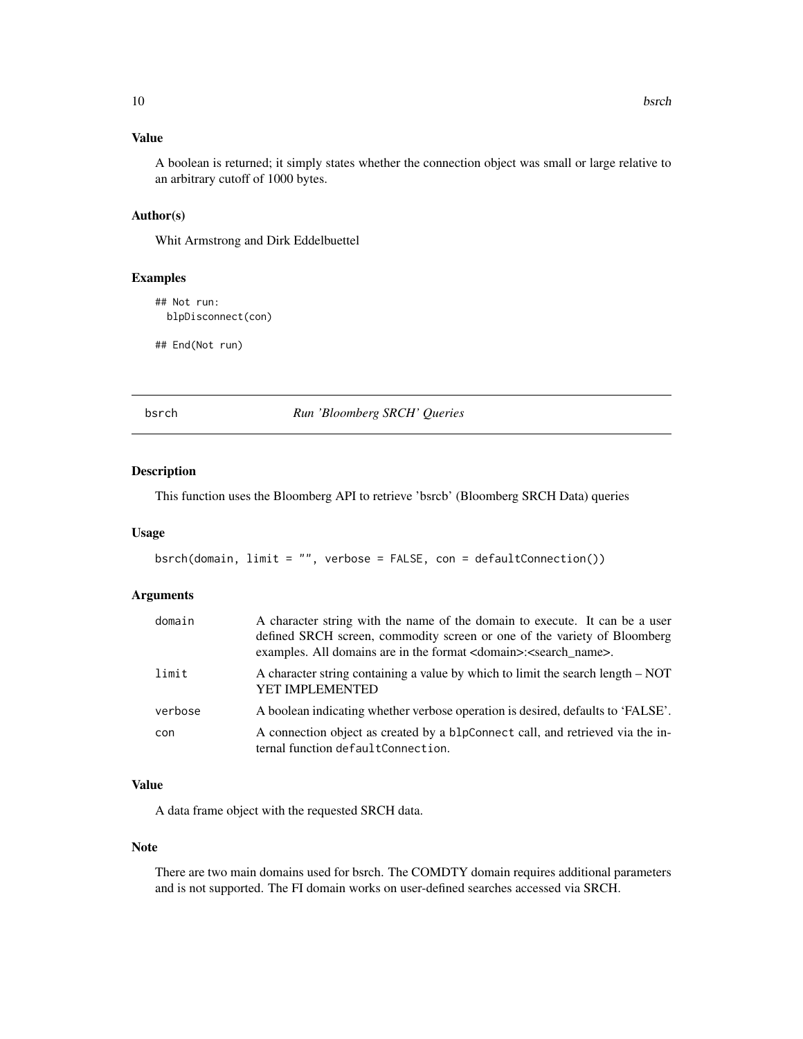<span id="page-9-0"></span>A boolean is returned; it simply states whether the connection object was small or large relative to an arbitrary cutoff of 1000 bytes.

# Author(s)

Whit Armstrong and Dirk Eddelbuettel

#### Examples

```
## Not run:
 blpDisconnect(con)
```
## End(Not run)

bsrch *Run 'Bloomberg SRCH' Queries*

#### Description

This function uses the Bloomberg API to retrieve 'bsrcb' (Bloomberg SRCH Data) queries

#### Usage

bsrch(domain, limit = "", verbose = FALSE, con = defaultConnection())

#### Arguments

| domain  | A character string with the name of the domain to execute. It can be a user<br>defined SRCH screen, commodity screen or one of the variety of Bloomberg<br>examples. All domains are in the format <domain>:<search_name>.</search_name></domain> |
|---------|---------------------------------------------------------------------------------------------------------------------------------------------------------------------------------------------------------------------------------------------------|
| limit   | A character string containing a value by which to limit the search length – NOT<br><b>YET IMPLEMENTED</b>                                                                                                                                         |
| verbose | A boolean indicating whether verbose operation is desired, defaults to 'FALSE'.                                                                                                                                                                   |
| con     | A connection object as created by a blpConnect call, and retrieved via the in-<br>ternal function defaultConnection.                                                                                                                              |

# Value

A data frame object with the requested SRCH data.

### Note

There are two main domains used for bsrch. The COMDTY domain requires additional parameters and is not supported. The FI domain works on user-defined searches accessed via SRCH.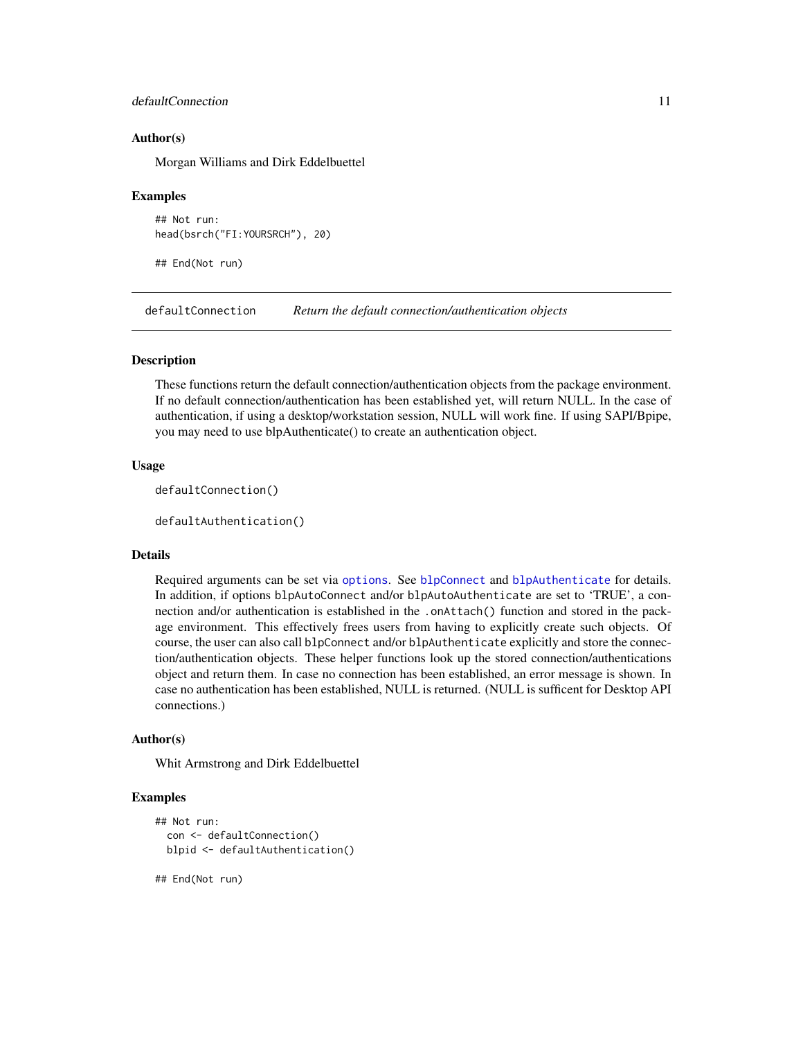# <span id="page-10-0"></span>defaultConnection 11

#### Author(s)

Morgan Williams and Dirk Eddelbuettel

#### Examples

```
## Not run:
head(bsrch("FI:YOURSRCH"), 20)
```
## End(Not run)

defaultConnection *Return the default connection/authentication objects*

#### Description

These functions return the default connection/authentication objects from the package environment. If no default connection/authentication has been established yet, will return NULL. In the case of authentication, if using a desktop/workstation session, NULL will work fine. If using SAPI/Bpipe, you may need to use blpAuthenticate() to create an authentication object.

#### Usage

```
defaultConnection()
```
defaultAuthentication()

#### Details

Required arguments can be set via [options](#page-0-0). See [blpConnect](#page-7-1) and [blpAuthenticate](#page-6-1) for details. In addition, if options blpAutoConnect and/or blpAutoAuthenticate are set to 'TRUE', a connection and/or authentication is established in the .onAttach() function and stored in the package environment. This effectively frees users from having to explicitly create such objects. Of course, the user can also call blpConnect and/or blpAuthenticate explicitly and store the connection/authentication objects. These helper functions look up the stored connection/authentications object and return them. In case no connection has been established, an error message is shown. In case no authentication has been established, NULL is returned. (NULL is sufficent for Desktop API connections.)

#### Author(s)

Whit Armstrong and Dirk Eddelbuettel

#### Examples

```
## Not run:
 con <- defaultConnection()
 blpid <- defaultAuthentication()
```
## End(Not run)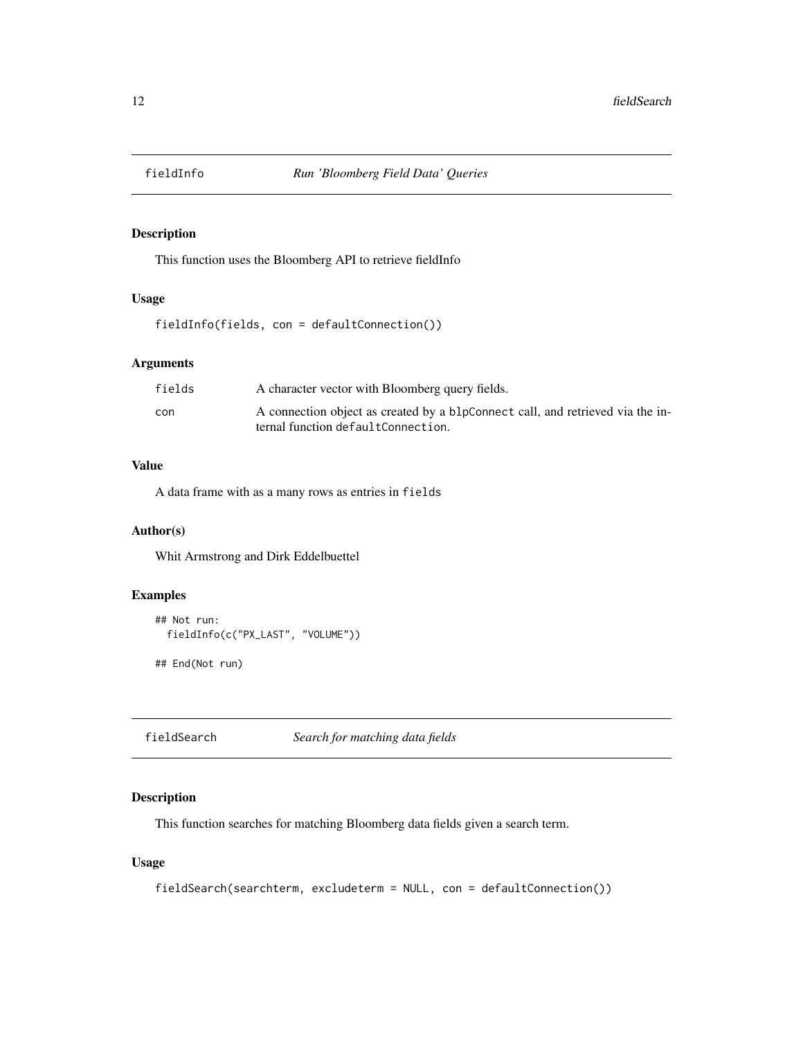<span id="page-11-0"></span>

#### Description

This function uses the Bloomberg API to retrieve fieldInfo

# Usage

fieldInfo(fields, con = defaultConnection())

## Arguments

| fields | A character vector with Bloomberg query fields.                                |
|--------|--------------------------------------------------------------------------------|
| con    | A connection object as created by a blpConnect call, and retrieved via the in- |
|        | ternal function defaultConnection.                                             |

# Value

A data frame with as a many rows as entries in fields

# Author(s)

Whit Armstrong and Dirk Eddelbuettel

# Examples

```
## Not run:
 fieldInfo(c("PX_LAST", "VOLUME"))
```
## End(Not run)

fieldSearch *Search for matching data fields*

# Description

This function searches for matching Bloomberg data fields given a search term.

#### Usage

```
fieldSearch(searchterm, excludeterm = NULL, con = defaultConnection())
```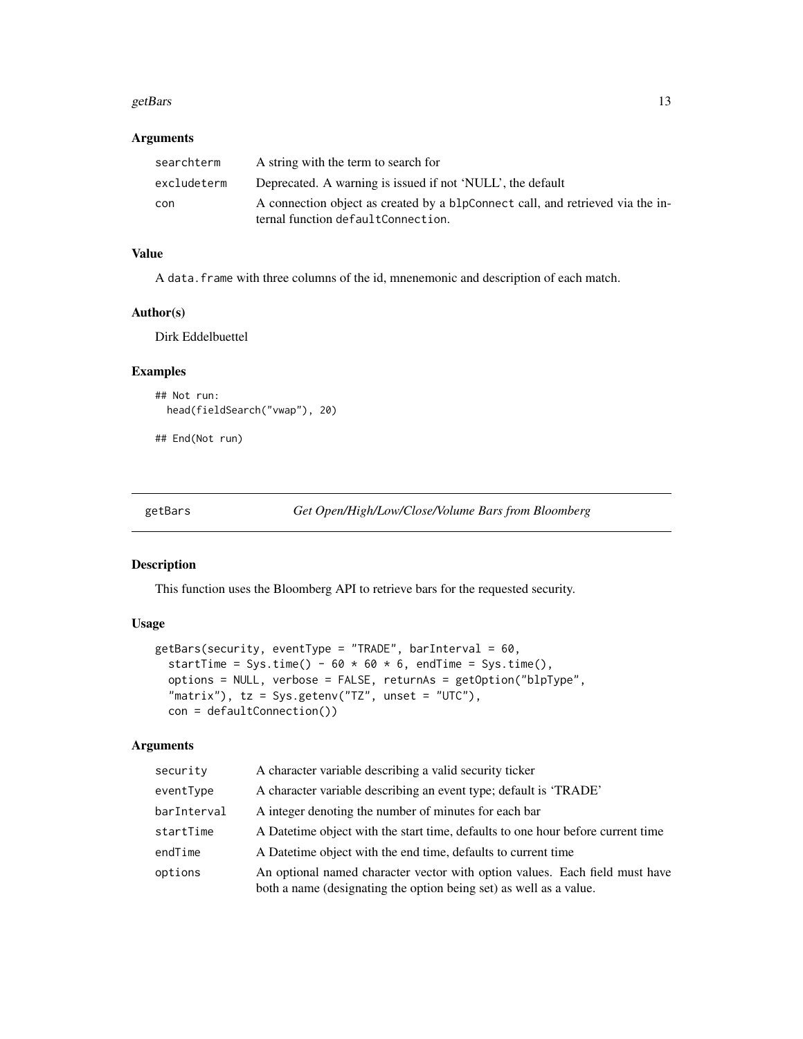#### <span id="page-12-0"></span>getBars  $\qquad \qquad$  13

# Arguments

| searchterm  | A string with the term to search for                                           |
|-------------|--------------------------------------------------------------------------------|
| excludeterm | Deprecated. A warning is issued if not 'NULL', the default                     |
| con         | A connection object as created by a blpConnect call, and retrieved via the in- |
|             | ternal function defaultConnection.                                             |

# Value

A data.frame with three columns of the id, mnenemonic and description of each match.

# Author(s)

Dirk Eddelbuettel

## Examples

```
## Not run:
 head(fieldSearch("vwap"), 20)
```
## End(Not run)

getBars *Get Open/High/Low/Close/Volume Bars from Bloomberg*

#### Description

This function uses the Bloomberg API to retrieve bars for the requested security.

# Usage

```
getBars(security, eventType = "TRADE", barInterval = 60,
  startTime = Sys.time() - 60 \times 60 \times 6, endTime = Sys.time(),
  options = NULL, verbose = FALSE, returnAs = getOption("blpType",
  "matrix"), tz = Sys.getenv("TZ", unset = "UTC"),
  con = defaultConnection())
```

| security    | A character variable describing a valid security ticker                                                                                           |
|-------------|---------------------------------------------------------------------------------------------------------------------------------------------------|
| eventType   | A character variable describing an event type; default is 'TRADE'                                                                                 |
| barInterval | A integer denoting the number of minutes for each bar                                                                                             |
| startTime   | A Datetime object with the start time, defaults to one hour before current time                                                                   |
| endTime     | A Date time object with the end time, defaults to current time                                                                                    |
| options     | An optional named character vector with option values. Each field must have<br>both a name (designating the option being set) as well as a value. |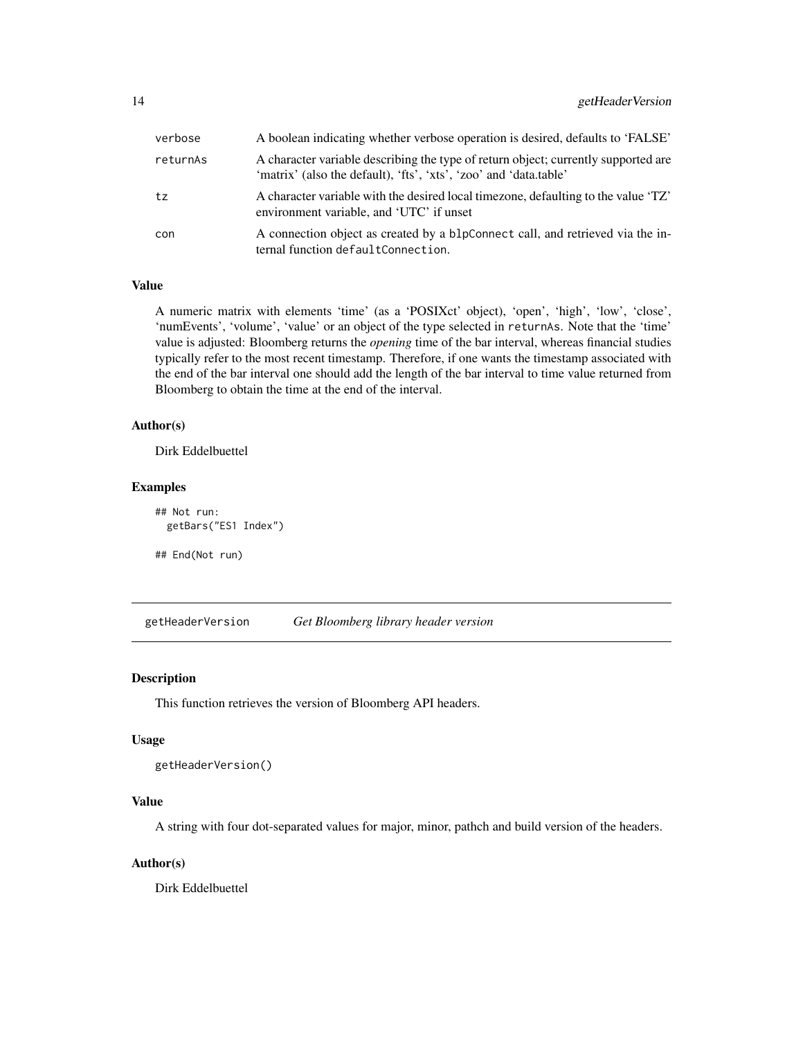<span id="page-13-0"></span>

| verbose  | A boolean indicating whether verbose operation is desired, defaults to 'FALSE'                                                                          |
|----------|---------------------------------------------------------------------------------------------------------------------------------------------------------|
| returnAs | A character variable describing the type of return object; currently supported are<br>'matrix' (also the default), 'fts', 'xts', 'zoo' and 'data.table' |
| tz       | A character variable with the desired local timezone, defaulting to the value 'TZ'<br>environment variable, and 'UTC' if unset                          |
| con      | A connection object as created by a blpConnect call, and retrieved via the in-<br>ternal function defaultConnection.                                    |

A numeric matrix with elements 'time' (as a 'POSIXct' object), 'open', 'high', 'low', 'close', 'numEvents', 'volume', 'value' or an object of the type selected in returnAs. Note that the 'time' value is adjusted: Bloomberg returns the *opening* time of the bar interval, whereas financial studies typically refer to the most recent timestamp. Therefore, if one wants the timestamp associated with the end of the bar interval one should add the length of the bar interval to time value returned from Bloomberg to obtain the time at the end of the interval.

# Author(s)

Dirk Eddelbuettel

#### Examples

```
## Not run:
 getBars("ES1 Index")
```
## End(Not run)

getHeaderVersion *Get Bloomberg library header version*

#### Description

This function retrieves the version of Bloomberg API headers.

#### Usage

```
getHeaderVersion()
```
# Value

A string with four dot-separated values for major, minor, pathch and build version of the headers.

#### Author(s)

Dirk Eddelbuettel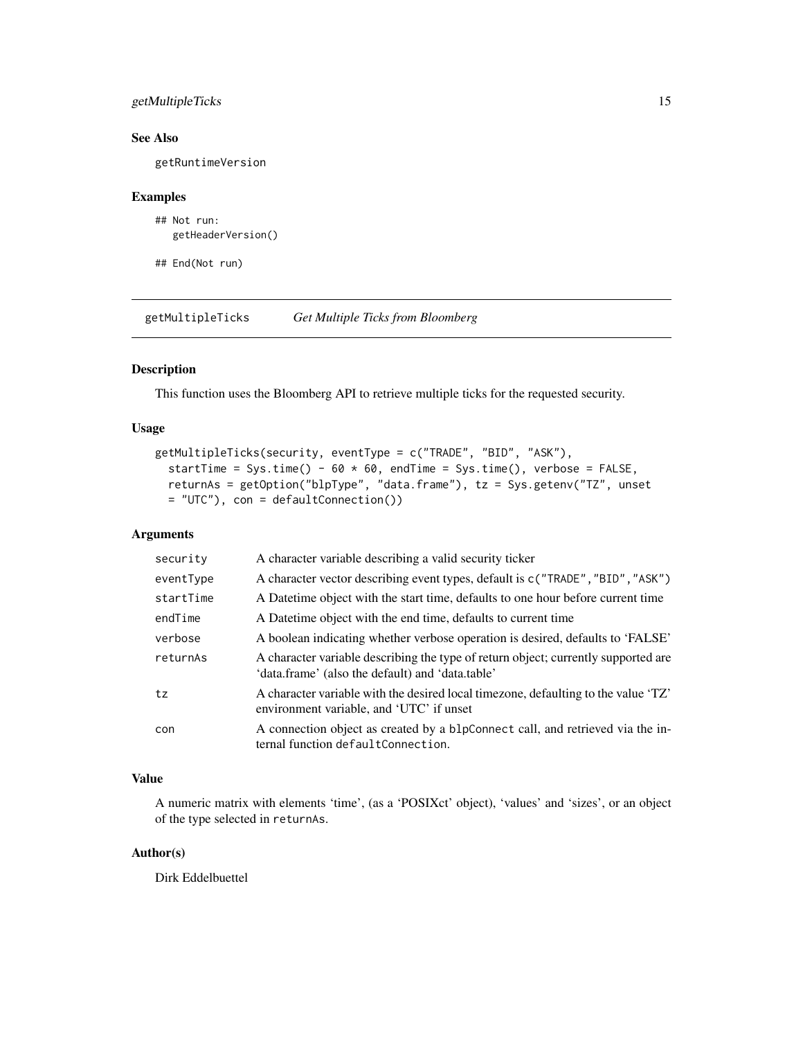# <span id="page-14-0"></span>getMultipleTicks 15

# See Also

getRuntimeVersion

#### Examples

```
## Not run:
  getHeaderVersion()
```
## End(Not run)

getMultipleTicks *Get Multiple Ticks from Bloomberg*

# Description

This function uses the Bloomberg API to retrieve multiple ticks for the requested security.

# Usage

```
getMultipleTicks(security, eventType = c("TRADE", "BID", "ASK"),
  startTime = Sys.time() - 60 \times 60, endTime = Sys.time(), verbose = FALSE,
  returnAs = getOption("blpType", "data.frame"), tz = Sys.getenv("TZ", unset
 = "UTC"), con = defaultConnection())
```
# Arguments

| security  | A character variable describing a valid security ticker                                                                                |
|-----------|----------------------------------------------------------------------------------------------------------------------------------------|
| eventType | A character vector describing event types, default is $c("TRADE", "BID", "ASK")$                                                       |
| startTime | A Datetime object with the start time, defaults to one hour before current time                                                        |
| endTime   | A Date time object with the end time, defaults to current time                                                                         |
| verbose   | A boolean indicating whether verbose operation is desired, defaults to 'FALSE'                                                         |
| returnAs  | A character variable describing the type of return object; currently supported are<br>'data.frame' (also the default) and 'data.table' |
| tz        | A character variable with the desired local timezone, defaulting to the value 'TZ'<br>environment variable, and 'UTC' if unset         |
| con       | A connection object as created by a blpConnect call, and retrieved via the in-<br>ternal function defaultConnection.                   |

# Value

A numeric matrix with elements 'time', (as a 'POSIXct' object), 'values' and 'sizes', or an object of the type selected in returnAs.

# Author(s)

Dirk Eddelbuettel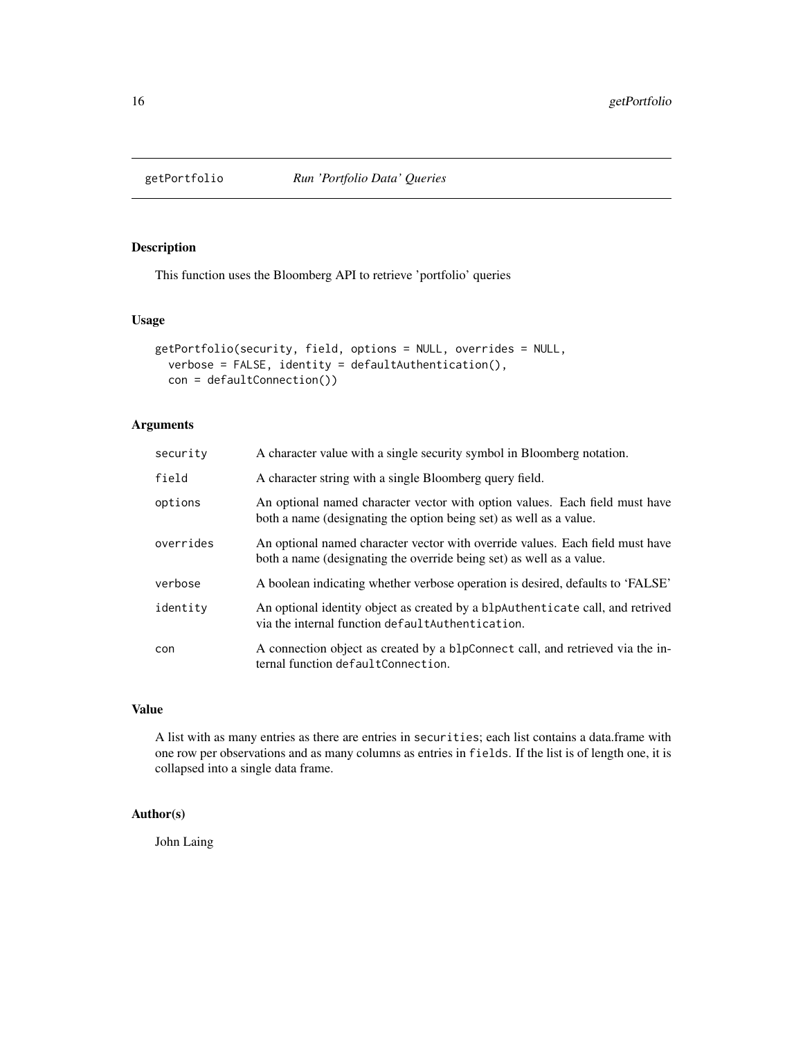<span id="page-15-0"></span>

# Description

This function uses the Bloomberg API to retrieve 'portfolio' queries

# Usage

```
getPortfolio(security, field, options = NULL, overrides = NULL,
 verbose = FALSE, identity = defaultAuthentication(),
  con = defaultConnection())
```
# Arguments

| security  | A character value with a single security symbol in Bloomberg notation.                                                                                |
|-----------|-------------------------------------------------------------------------------------------------------------------------------------------------------|
| field     | A character string with a single Bloomberg query field.                                                                                               |
| options   | An optional named character vector with option values. Each field must have<br>both a name (designating the option being set) as well as a value.     |
| overrides | An optional named character vector with override values. Each field must have<br>both a name (designating the override being set) as well as a value. |
| verbose   | A boolean indicating whether verbose operation is desired, defaults to 'FALSE'                                                                        |
| identity  | An optional identity object as created by a blpAuthenticate call, and retrived<br>via the internal function defaultAuthentication.                    |
| con       | A connection object as created by a blpConnect call, and retrieved via the in-<br>ternal function defaultConnection.                                  |

#### Value

A list with as many entries as there are entries in securities; each list contains a data.frame with one row per observations and as many columns as entries in fields. If the list is of length one, it is collapsed into a single data frame.

# Author(s)

John Laing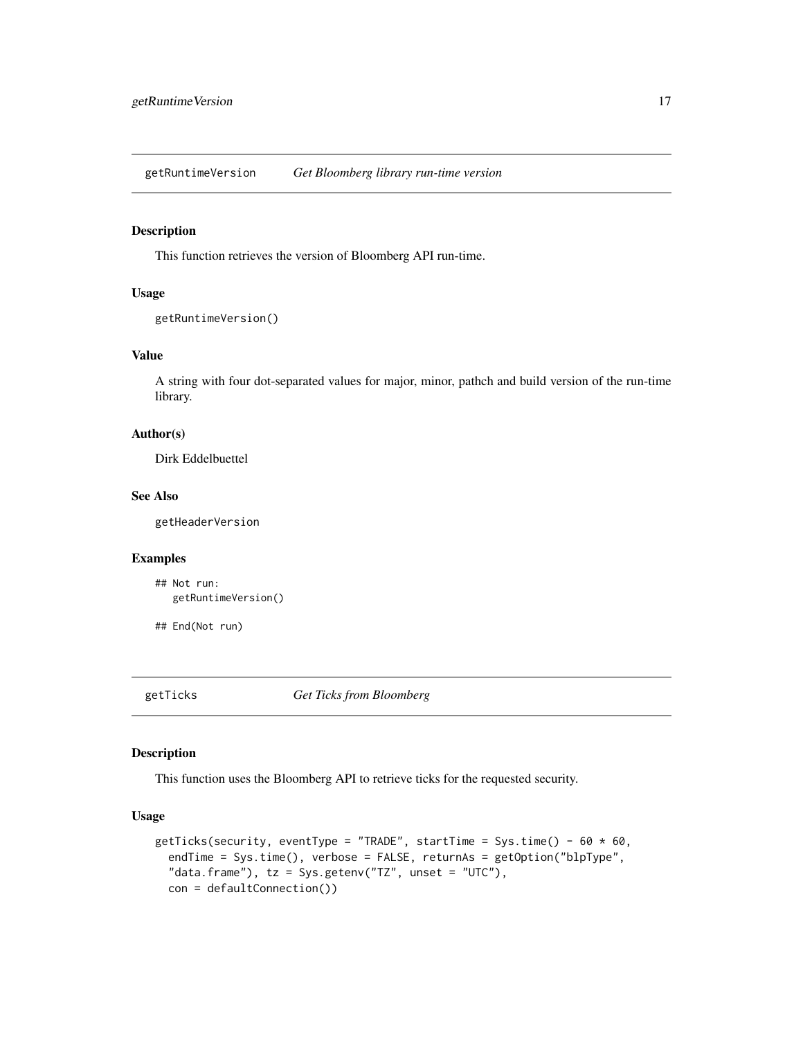<span id="page-16-0"></span>getRuntimeVersion *Get Bloomberg library run-time version*

# Description

This function retrieves the version of Bloomberg API run-time.

#### Usage

```
getRuntimeVersion()
```
# Value

A string with four dot-separated values for major, minor, pathch and build version of the run-time library.

# Author(s)

Dirk Eddelbuettel

# See Also

getHeaderVersion

# Examples

```
## Not run:
  getRuntimeVersion()
```
## End(Not run)

getTicks *Get Ticks from Bloomberg*

# Description

This function uses the Bloomberg API to retrieve ticks for the requested security.

### Usage

```
getTicks(security, eventType = "TRADE", startTime = Sys.time() - 60 \times 60,
  endTime = Sys.time(), verbose = FALSE, returnAs = getOption("blpType",
  "data.frame"), tz = Sys.getenv("TZ", unset = "UTC"),
  con = defaultConnection())
```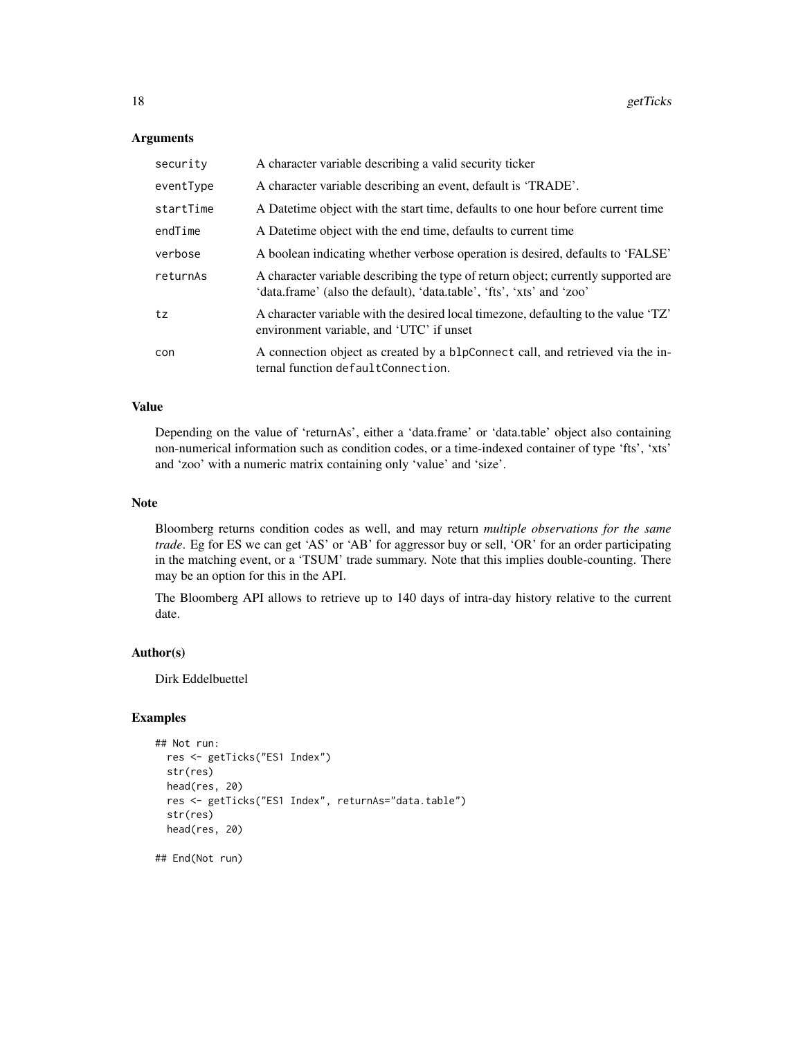#### **Arguments**

| security  | A character variable describing a valid security ticker                                                                                                     |
|-----------|-------------------------------------------------------------------------------------------------------------------------------------------------------------|
| eventType | A character variable describing an event, default is 'TRADE'.                                                                                               |
| startTime | A Date time object with the start time, defaults to one hour before current time                                                                            |
| endTime   | A Datetime object with the end time, defaults to current time                                                                                               |
| verbose   | A boolean indicating whether verbose operation is desired, defaults to 'FALSE'                                                                              |
| returnAs  | A character variable describing the type of return object; currently supported are<br>'data.frame' (also the default), 'data.table', 'fts', 'xts' and 'zoo' |
| tz        | A character variable with the desired local timezone, defaulting to the value 'TZ'<br>environment variable, and 'UTC' if unset                              |
| con       | A connection object as created by a blpConnect call, and retrieved via the in-<br>ternal function defaultConnection.                                        |

#### Value

Depending on the value of 'returnAs', either a 'data.frame' or 'data.table' object also containing non-numerical information such as condition codes, or a time-indexed container of type 'fts', 'xts' and 'zoo' with a numeric matrix containing only 'value' and 'size'.

#### Note

Bloomberg returns condition codes as well, and may return *multiple observations for the same trade*. Eg for ES we can get 'AS' or 'AB' for aggressor buy or sell, 'OR' for an order participating in the matching event, or a 'TSUM' trade summary. Note that this implies double-counting. There may be an option for this in the API.

The Bloomberg API allows to retrieve up to 140 days of intra-day history relative to the current date.

#### Author(s)

Dirk Eddelbuettel

#### Examples

```
## Not run:
 res <- getTicks("ES1 Index")
 str(res)
 head(res, 20)
 res <- getTicks("ES1 Index", returnAs="data.table")
 str(res)
 head(res, 20)
```
## End(Not run)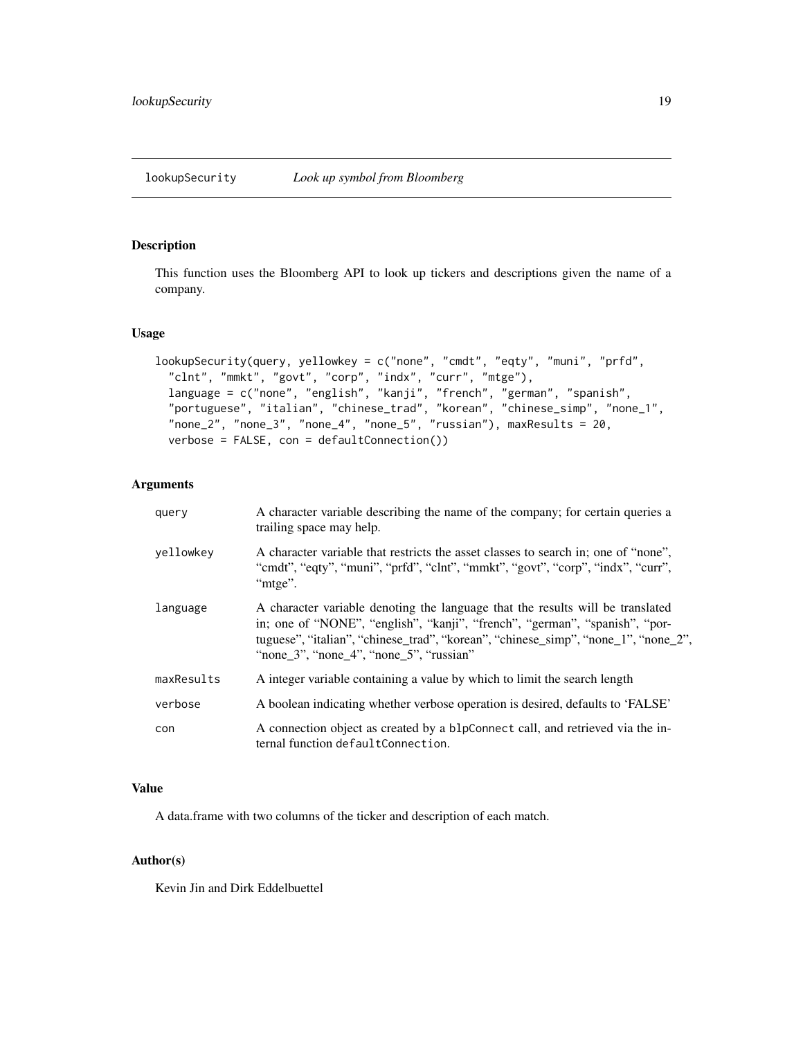# <span id="page-18-0"></span>Description

This function uses the Bloomberg API to look up tickers and descriptions given the name of a company.

# Usage

```
lookupSecurity(query, yellowkey = c("none", "cmdt", "eqty", "muni", "prfd",
  "clnt", "mmkt", "govt", "corp", "indx", "curr", "mtge"),
  language = c("none", "english", "kanji", "french", "german", "spanish",
  "portuguese", "italian", "chinese_trad", "korean", "chinese_simp", "none_1",
  "none_2", "none_3", "none_4", "none_5", "russian"), maxResults = 20,
  verbose = FALSE, con = defaultConnection())
```
# Arguments

| query      | A character variable describing the name of the company; for certain queries a<br>trailing space may help.                                                                                                                                                                                              |
|------------|---------------------------------------------------------------------------------------------------------------------------------------------------------------------------------------------------------------------------------------------------------------------------------------------------------|
| vellowkey  | A character variable that restricts the asset classes to search in; one of "none",<br>"cmdt", "eqty", "muni", "prfd", "clnt", "mmkt", "govt", "corp", "indx", "curr",<br>"mtge".                                                                                                                        |
| language   | A character variable denoting the language that the results will be translated<br>in; one of "NONE", "english", "kanji", "french", "german", "spanish", "por-<br>tuguese", "italian", "chinese_trad", "korean", "chinese_simp", "none_1", "none_2",<br>"none $3$ ", "none $4$ ", "none $5$ ", "russian" |
| maxResults | A integer variable containing a value by which to limit the search length                                                                                                                                                                                                                               |
| verbose    | A boolean indicating whether verbose operation is desired, defaults to 'FALSE'                                                                                                                                                                                                                          |
| con        | A connection object as created by a blpConnect call, and retrieved via the in-<br>ternal function defaultConnection.                                                                                                                                                                                    |

# Value

A data.frame with two columns of the ticker and description of each match.

# Author(s)

Kevin Jin and Dirk Eddelbuettel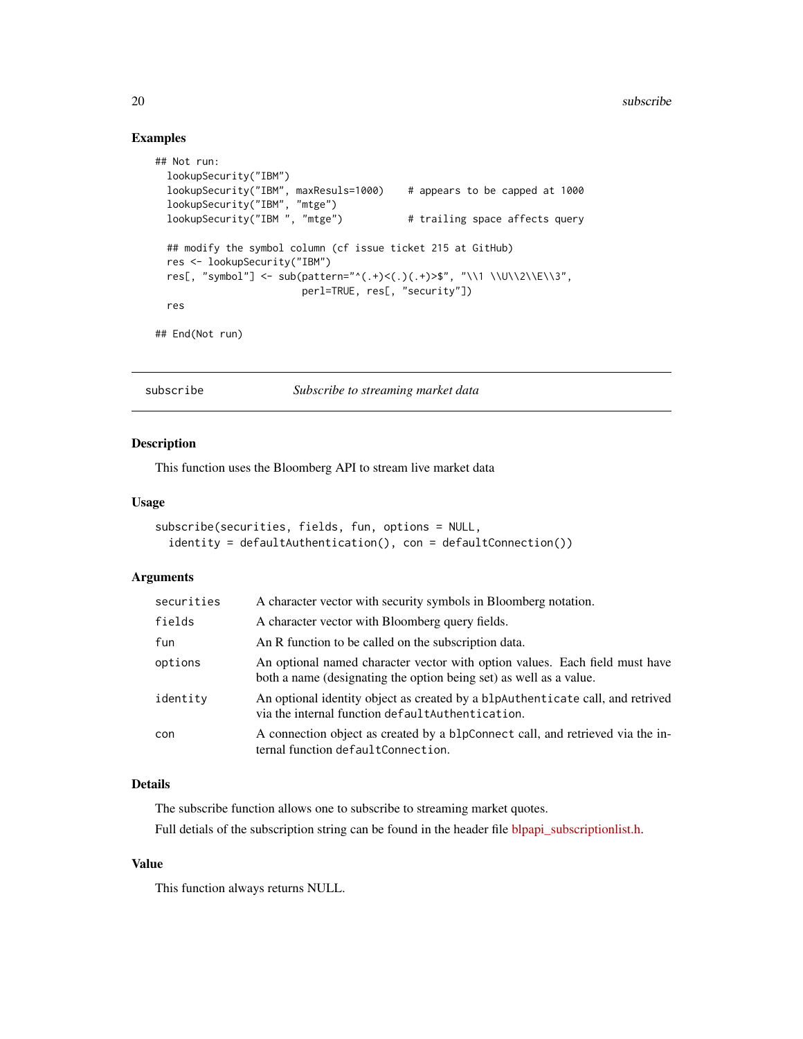# <span id="page-19-0"></span>Examples

```
## Not run:
 lookupSecurity("IBM")
 lookupSecurity("IBM", maxResuls=1000) # appears to be capped at 1000
  lookupSecurity("IBM", "mtge")
  lookupSecurity("IBM ", "mtge") # trailing space affects query
 ## modify the symbol column (cf issue ticket 215 at GitHub)
 res <- lookupSecurity("IBM")
 res[, "symbol"] <- sub(pattern="^(.+)<(.)(.+)>$", "\\1 \\U\\2\\E\\3",
                        perl=TRUE, res[, "security"])
 res
## End(Not run)
```
subscribe *Subscribe to streaming market data*

#### Description

This function uses the Bloomberg API to stream live market data

#### Usage

```
subscribe(securities, fields, fun, options = NULL,
  identity = defaultAuthentication(), con = defaultConnection())
```
# Arguments

| securities | A character vector with security symbols in Bloomberg notation.                                                                                   |
|------------|---------------------------------------------------------------------------------------------------------------------------------------------------|
| fields     | A character vector with Bloomberg query fields.                                                                                                   |
| fun        | An R function to be called on the subscription data.                                                                                              |
| options    | An optional named character vector with option values. Each field must have<br>both a name (designating the option being set) as well as a value. |
| identity   | An optional identity object as created by a blpAuthenticate call, and retrived<br>via the internal function default Authentication.               |
| con        | A connection object as created by a blpConnect call, and retrieved via the in-<br>ternal function defaultConnection.                              |

# Details

The subscribe function allows one to subscribe to streaming market quotes.

Full detials of the subscription string can be found in the header file [blpapi\\_subscriptionlist.h.](https://bloomberg.github.io/blpapi-docs/cpp/3.8/blpapi__subscriptionlist_8h.html)

#### Value

This function always returns NULL.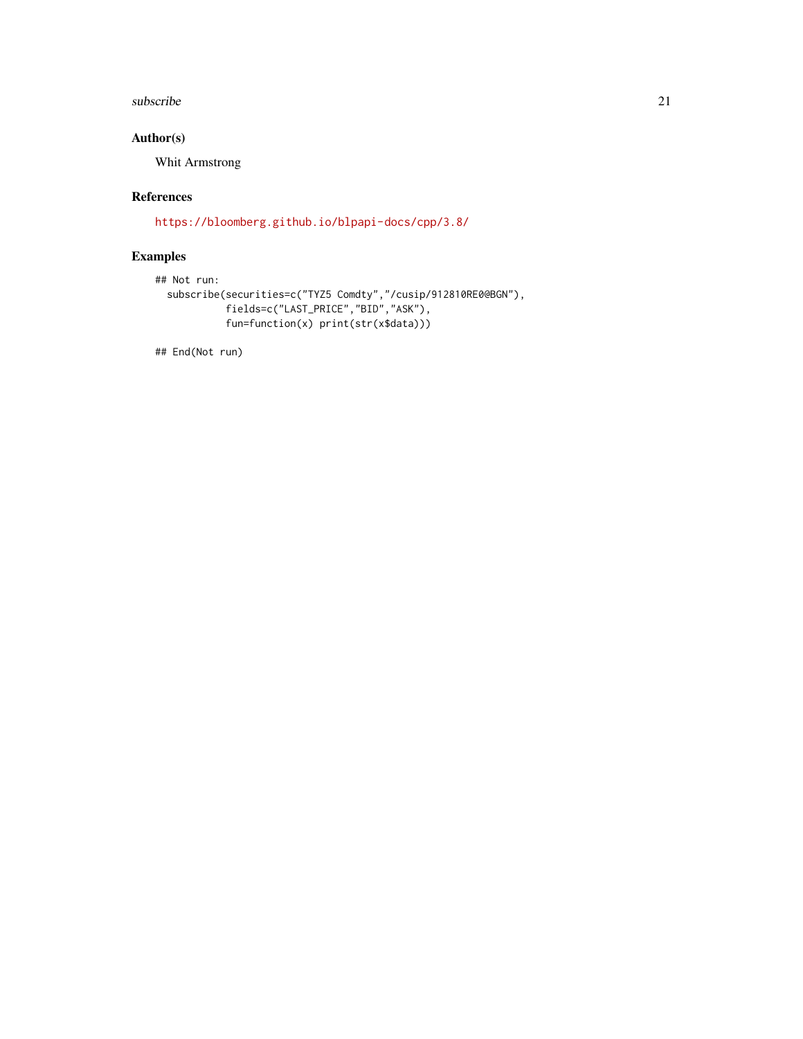#### subscribe 21

# Author(s)

Whit Armstrong

# References

<https://bloomberg.github.io/blpapi-docs/cpp/3.8/>

# Examples

```
## Not run:
 subscribe(securities=c("TYZ5 Comdty","/cusip/912810RE0@BGN"),
            fields=c("LAST_PRICE","BID","ASK"),
            fun=function(x) print(str(x$data)))
```
## End(Not run)